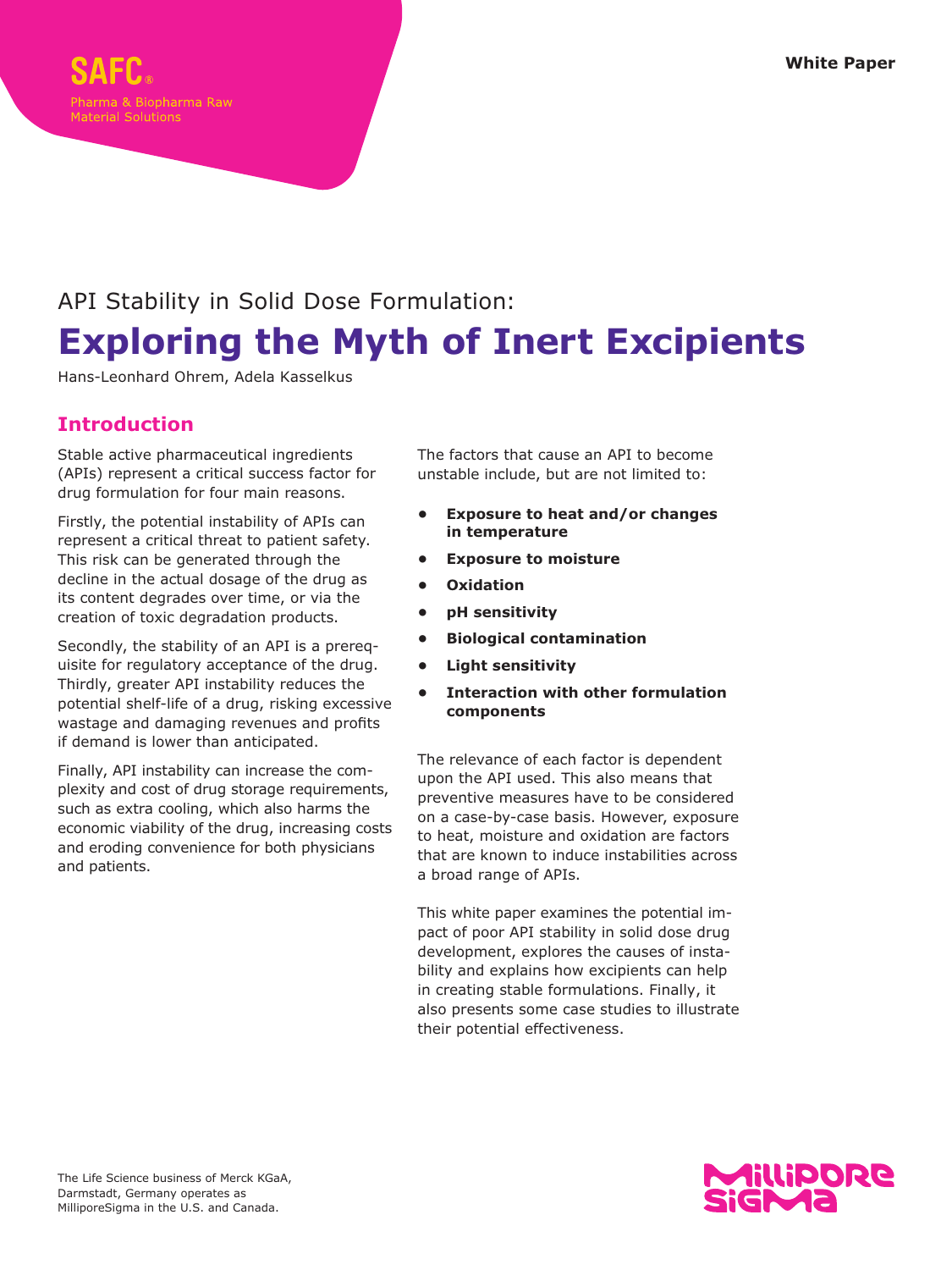

# API Stability in Solid Dose Formulation: **Exploring the Myth of Inert Excipients**

Hans-Leonhard Ohrem, Adela Kasselkus

# **Introduction**

Stable active pharmaceutical ingredients (APIs) represent a critical success factor for drug formulation for four main reasons.

Firstly, the potential instability of APIs can represent a critical threat to patient safety. This risk can be generated through the decline in the actual dosage of the drug as its content degrades over time, or via the creation of toxic degradation products.

Secondly, the stability of an API is a prerequisite for regulatory acceptance of the drug. Thirdly, greater API instability reduces the potential shelf-life of a drug, risking excessive wastage and damaging revenues and profits if demand is lower than anticipated.

Finally, API instability can increase the complexity and cost of drug storage requirements, such as extra cooling, which also harms the economic viability of the drug, increasing costs and eroding convenience for both physicians and patients.

The factors that cause an API to become unstable include, but are not limited to:

- **• Exposure to heat and/or changes in temperature**
- **• Exposure to moisture**
- **• Oxidation**
- **• pH sensitivity**
- **• Biological contamination**
- **• Light sensitivity**
- **• Interaction with other formulation components**

The relevance of each factor is dependent upon the API used. This also means that preventive measures have to be considered on a case-by-case basis. However, exposure to heat, moisture and oxidation are factors that are known to induce instabilities across a broad range of APIs.

This white paper examines the potential impact of poor API stability in solid dose drug development, explores the causes of instability and explains how excipients can help in creating stable formulations. Finally, it also presents some case studies to illustrate their potential effectiveness.

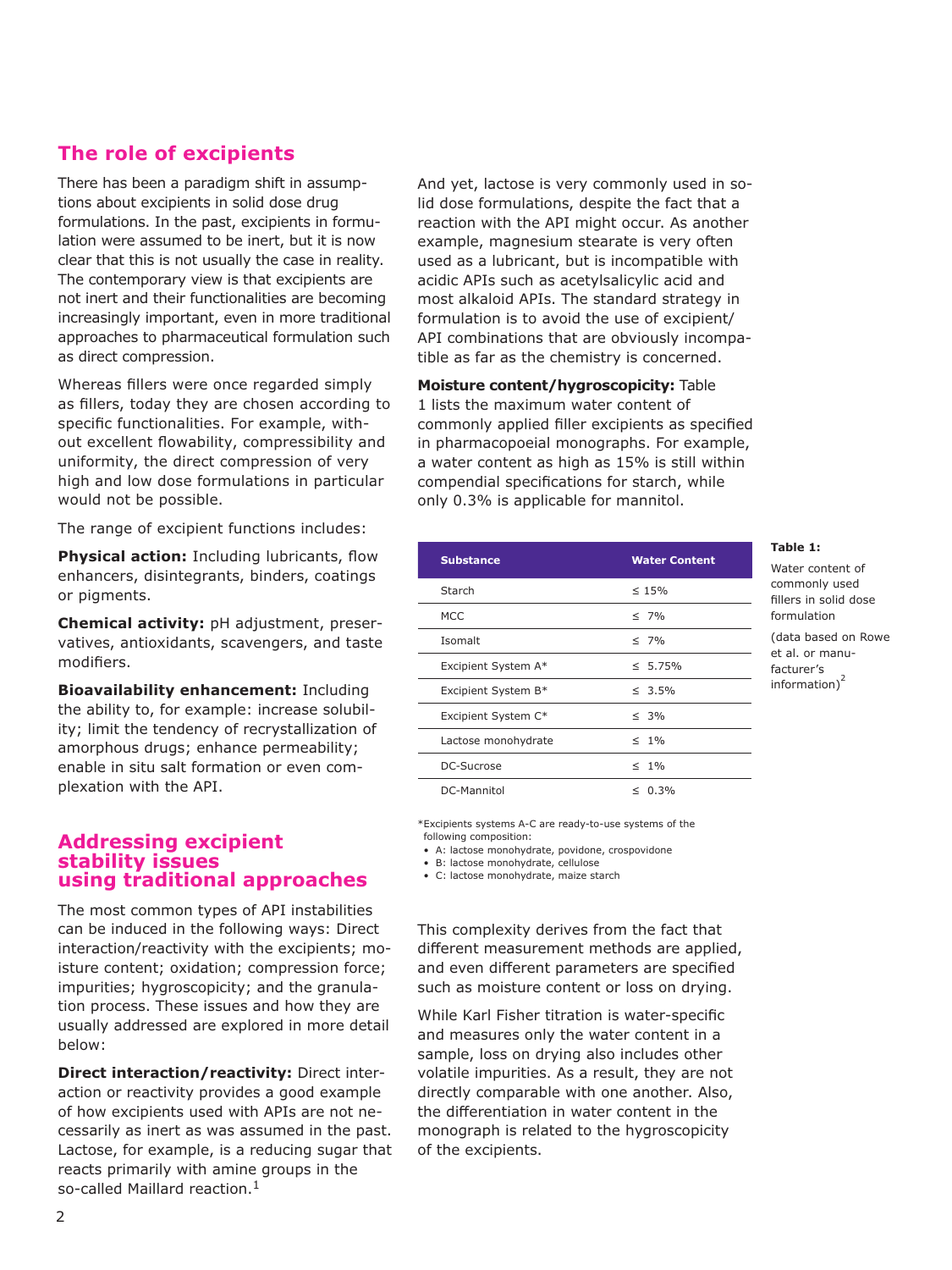# **The role of excipients**

There has been a paradigm shift in assumptions about excipients in solid dose drug formulations. In the past, excipients in formulation were assumed to be inert, but it is now clear that this is not usually the case in reality. The contemporary view is that excipients are not inert and their functionalities are becoming increasingly important, even in more traditional approaches to pharmaceutical formulation such as direct compression.

Whereas fillers were once regarded simply as fillers, today they are chosen according to specific functionalities. For example, without excellent flowability, compressibility and uniformity, the direct compression of very high and low dose formulations in particular would not be possible.

The range of excipient functions includes:

**Physical action:** Including lubricants, flow enhancers, disintegrants, binders, coatings or pigments.

**Chemical activity:** pH adjustment, preservatives, antioxidants, scavengers, and taste modifiers.

**Bioavailability enhancement:** Including the ability to, for example: increase solubility; limit the tendency of recrystallization of amorphous drugs; enhance permeability; enable in situ salt formation or even complexation with the API.

## **Addressing excipient stability issues using traditional approaches**

The most common types of API instabilities can be induced in the following ways: Direct interaction/reactivity with the excipients; moisture content; oxidation; compression force; impurities; hygroscopicity; and the granulation process. These issues and how they are usually addressed are explored in more detail below:

**Direct interaction/reactivity:** Direct interaction or reactivity provides a good example of how excipients used with APIs are not necessarily as inert as was assumed in the past. Lactose, for example, is a reducing sugar that reacts primarily with amine groups in the so-called Maillard reaction.<sup>1</sup>

And yet, lactose is very commonly used in solid dose formulations, despite the fact that a reaction with the API might occur. As another example, magnesium stearate is very often used as a lubricant, but is incompatible with acidic APIs such as acetylsalicylic acid and most alkaloid APIs. The standard strategy in formulation is to avoid the use of excipient/ API combinations that are obviously incompatible as far as the chemistry is concerned.

**Moisture content/hygroscopicity:** Table 1 lists the maximum water content of commonly applied filler excipients as specified in pharmacopoeial monographs. For example, a water content as high as 15% is still within compendial specifications for starch, while only 0.3% is applicable for mannitol.

| <b>Substance</b>    | <b>Water Content</b> |
|---------------------|----------------------|
| Starch              | $\leq 15\%$          |
| <b>MCC</b>          | $\leq 7\%$           |
| Isomalt             | $\leq 7\%$           |
| Excipient System A* | $\leq 5.75\%$        |
| Excipient System B* | $\leq 3.5\%$         |
| Excipient System C* | $\leq 3\%$           |
| Lactose monohydrate | $\leq$ 1%            |
| DC-Sucrose          | $\leq$ 1%            |
| DC-Mannitol         | $\leq 0.3\%$         |

**Table 1:** 

Water content of commonly used fillers in solid dose formulation (data based on Rowe et al. or manufacturer's  $information)^2$ 

\*Excipients systems A-C are ready-to-use systems of the following composition:

• A: lactose monohydrate, povidone, crospovidone

• B: lactose monohydrate, cellulose

• C: lactose monohydrate, maize starch

This complexity derives from the fact that different measurement methods are applied, and even different parameters are specified such as moisture content or loss on drying.

While Karl Fisher titration is water-specific and measures only the water content in a sample, loss on drying also includes other volatile impurities. As a result, they are not directly comparable with one another. Also, the differentiation in water content in the monograph is related to the hygroscopicity of the excipients.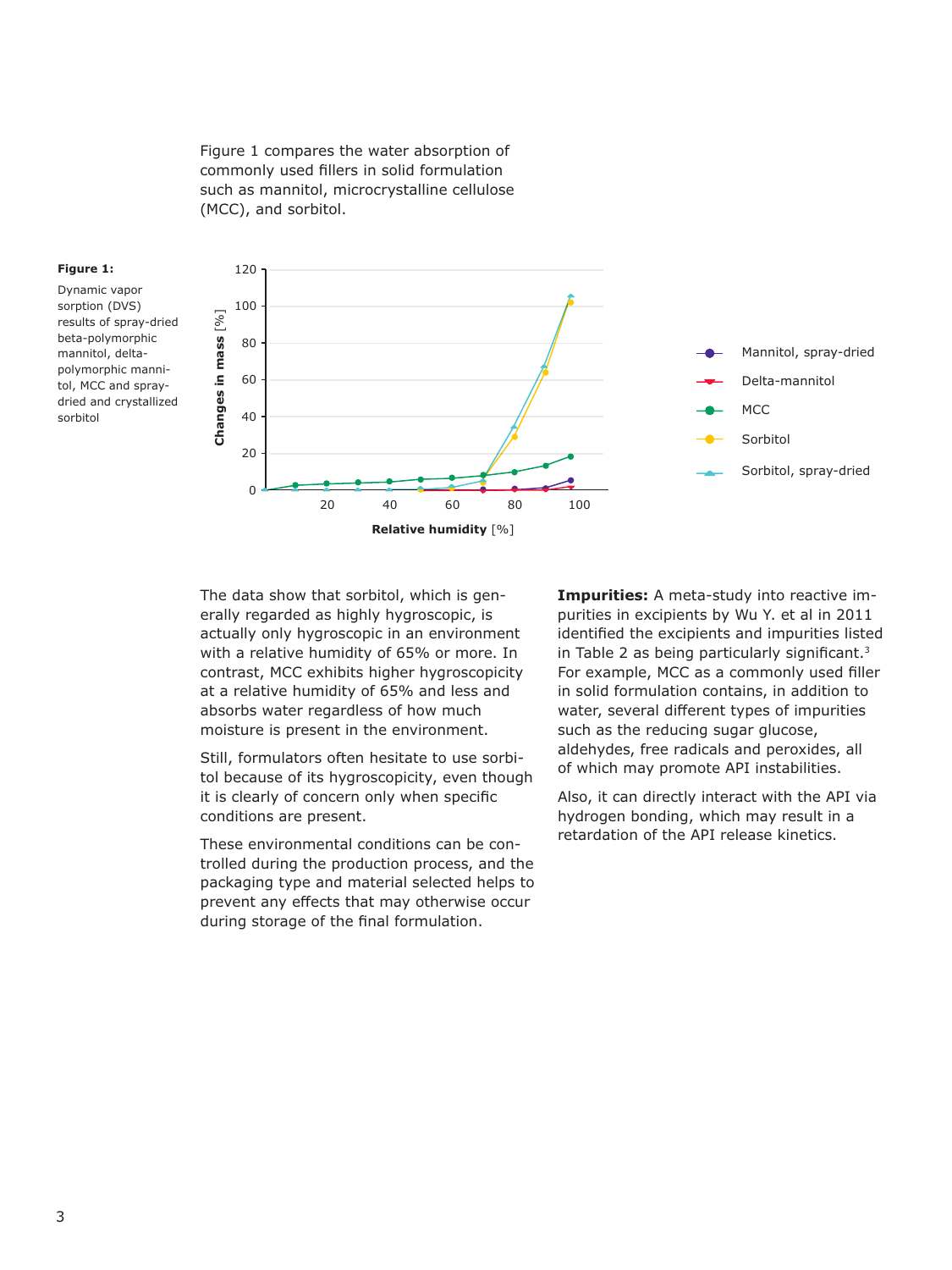Figure 1 compares the water absorption of commonly used fillers in solid formulation such as mannitol, microcrystalline cellulose (MCC), and sorbitol.



Dynamic vapor sorption (DVS) results of spray-dried beta-polymorphic mannitol, deltapolymorphic mannitol, MCC and spraydried and crystallized sorbitol



The data show that sorbitol, which is generally regarded as highly hygroscopic, is actually only hygroscopic in an environment with a relative humidity of 65% or more. In contrast, MCC exhibits higher hygroscopicity at a relative humidity of 65% and less and absorbs water regardless of how much moisture is present in the environment.

Still, formulators often hesitate to use sorbitol because of its hygroscopicity, even though it is clearly of concern only when specific conditions are present.

These environmental conditions can be controlled during the production process, and the packaging type and material selected helps to prevent any effects that may otherwise occur during storage of the final formulation.

**Impurities:** A meta-study into reactive impurities in excipients by Wu Y. et al in 2011 identified the excipients and impurities listed in Table 2 as being particularly significant.<sup>3</sup> For example, MCC as a commonly used filler in solid formulation contains, in addition to water, several different types of impurities such as the reducing sugar glucose, aldehydes, free radicals and peroxides, all of which may promote API instabilities.

Also, it can directly interact with the API via hydrogen bonding, which may result in a retardation of the API release kinetics.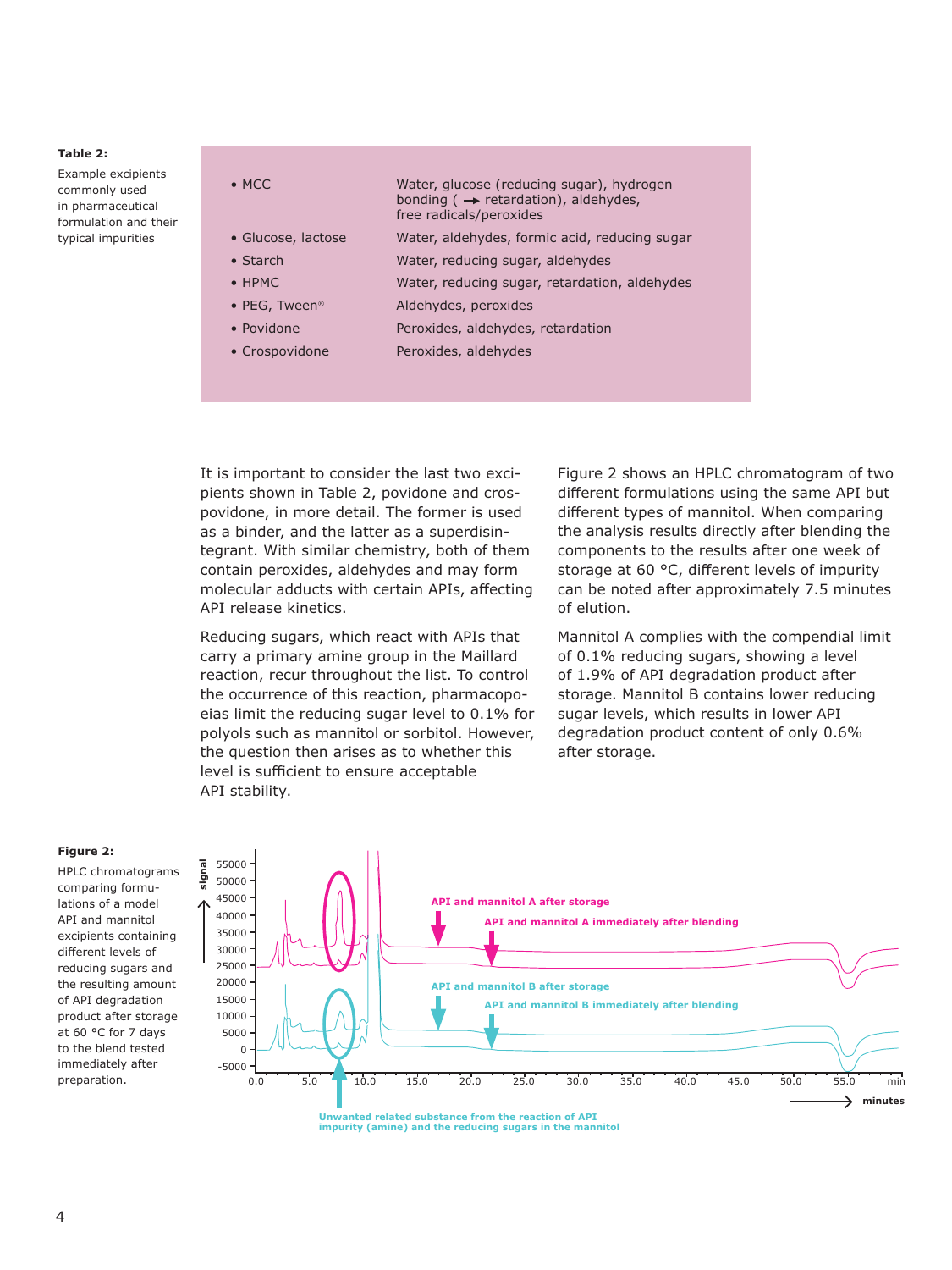#### **Table 2:**

Example excipients commonly used in pharmaceutical formulation and their typical impurities

• MCC Water, glucose (reducing sugar), hydrogen bonding ( $\rightarrow$  retardation), aldehydes, free radicals/peroxides • Glucose, lactose Water, aldehydes, formic acid, reducing sugar

- Starch Water, reducing sugar, aldehydes
- HPMC Water, reducing sugar, retardation, aldehydes
- PEG, Tween® Aldehydes, peroxides
- Povidone Peroxides, aldehydes, retardation
- Crospovidone Peroxides, aldehydes

It is important to consider the last two excipients shown in Table 2, povidone and crospovidone, in more detail. The former is used as a binder, and the latter as a superdisintegrant. With similar chemistry, both of them contain peroxides, aldehydes and may form molecular adducts with certain APIs, affecting API release kinetics.

Reducing sugars, which react with APIs that carry a primary amine group in the Maillard reaction, recur throughout the list. To control the occurrence of this reaction, pharmacopoeias limit the reducing sugar level to 0.1% for polyols such as mannitol or sorbitol. However, the question then arises as to whether this level is sufficient to ensure acceptable API stability.

Figure 2 shows an HPLC chromatogram of two different formulations using the same API but different types of mannitol. When comparing the analysis results directly after blending the components to the results after one week of storage at 60 °C, different levels of impurity can be noted after approximately 7.5 minutes of elution.

Mannitol A complies with the compendial limit of 0.1% reducing sugars, showing a level of 1.9% of API degradation product after storage. Mannitol B contains lower reducing sugar levels, which results in lower API degradation product content of only 0.6% after storage.

#### **Figure 2:**

HPLC chromatograms comparing formulations of a model API and mannitol excipients containing different levels of reducing sugars and the resulting amount of API degradation product after storage at 60 °C for 7 days to the blend tested immediately after preparation.



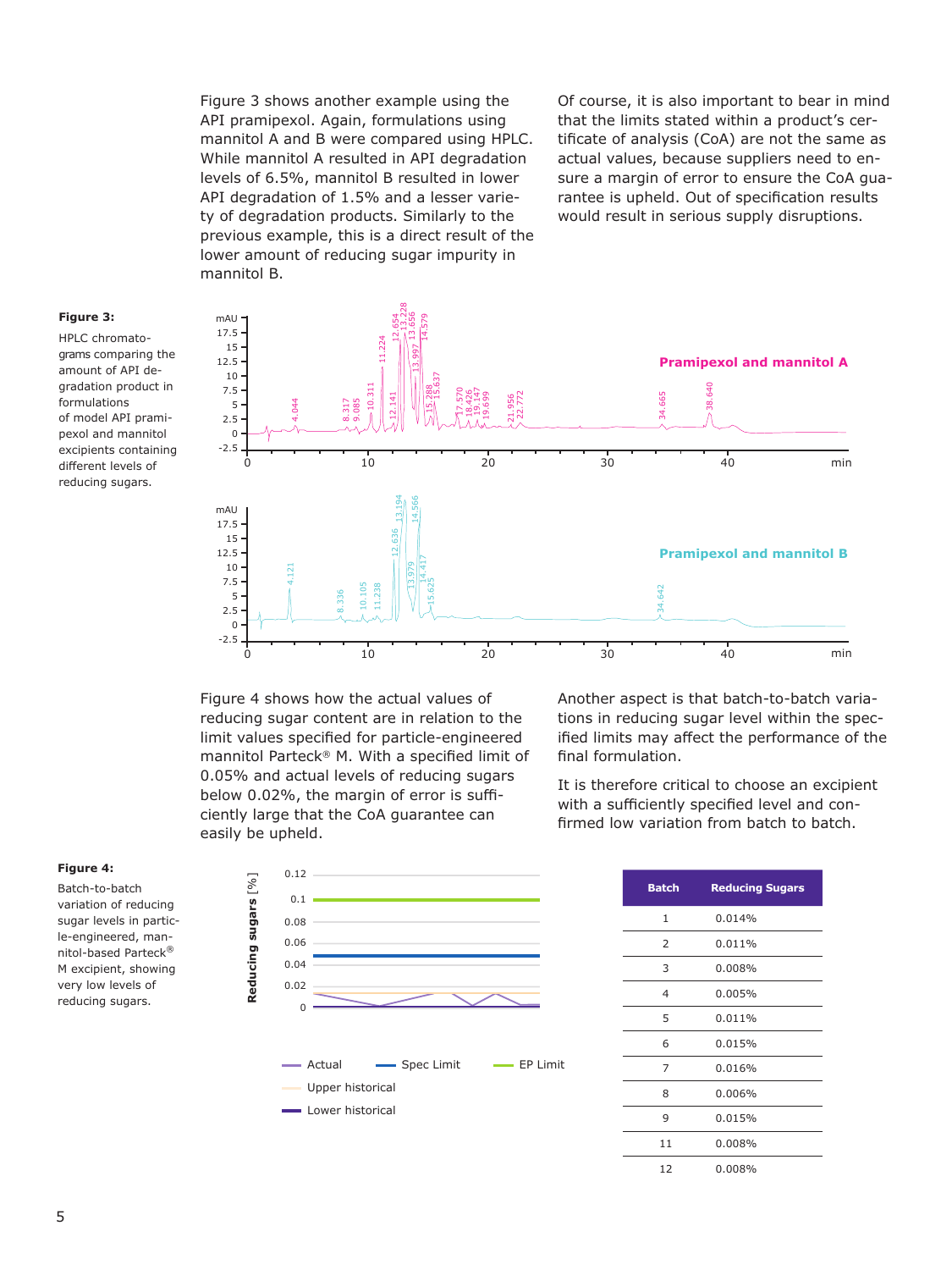Figure 3 shows another example using the API pramipexol. Again, formulations using mannitol A and B were compared using HPLC. While mannitol A resulted in API degradation levels of 6.5%, mannitol B resulted in lower API degradation of 1.5% and a lesser variety of degradation products. Similarly to the previous example, this is a direct result of the lower amount of reducing sugar impurity in mannitol B.

Of course, it is also important to bear in mind that the limits stated within a product's certificate of analysis (CoA) are not the same as actual values, because suppliers need to ensure a margin of error to ensure the CoA guarantee is upheld. Out of specification results would result in serious supply disruptions.

#### **Figure 3:**

HPLC chromatograms comparing the amount of API degradation product in formulations of model API pramipexol and mannitol excipients containing different levels of reducing sugars.



Figure 4 shows how the actual values of reducing sugar content are in relation to the limit values specified for particle-engineered mannitol Parteck® M. With a specified limit of 0.05% and actual levels of reducing sugars below 0.02%, the margin of error is sufficiently large that the CoA guarantee can easily be upheld.

Another aspect is that batch-to-batch variations in reducing sugar level within the specified limits may affect the performance of the final formulation.

It is therefore critical to choose an excipient with a sufficiently specified level and confirmed low variation from batch to batch.

#### **Figure 4:**

Batch-to-batch variation of reducing sugar levels in particle-engineered, mannitol-based Parteck® M excipient, showing very low levels of reducing sugars.



| <b>Batch</b> | <b>Reducing Sugars</b> |
|--------------|------------------------|
| $\mathbf{1}$ | 0.014%                 |
| 2            | 0.011%                 |
| 3            | 0.008%                 |
| 4            | 0.005%                 |
| 5            | 0.011%                 |
| 6            | 0.015%                 |
| 7            | 0.016%                 |
| 8            | 0.006%                 |
| 9            | 0.015%                 |
| 11           | 0.008%                 |
| 12           | 0.008%                 |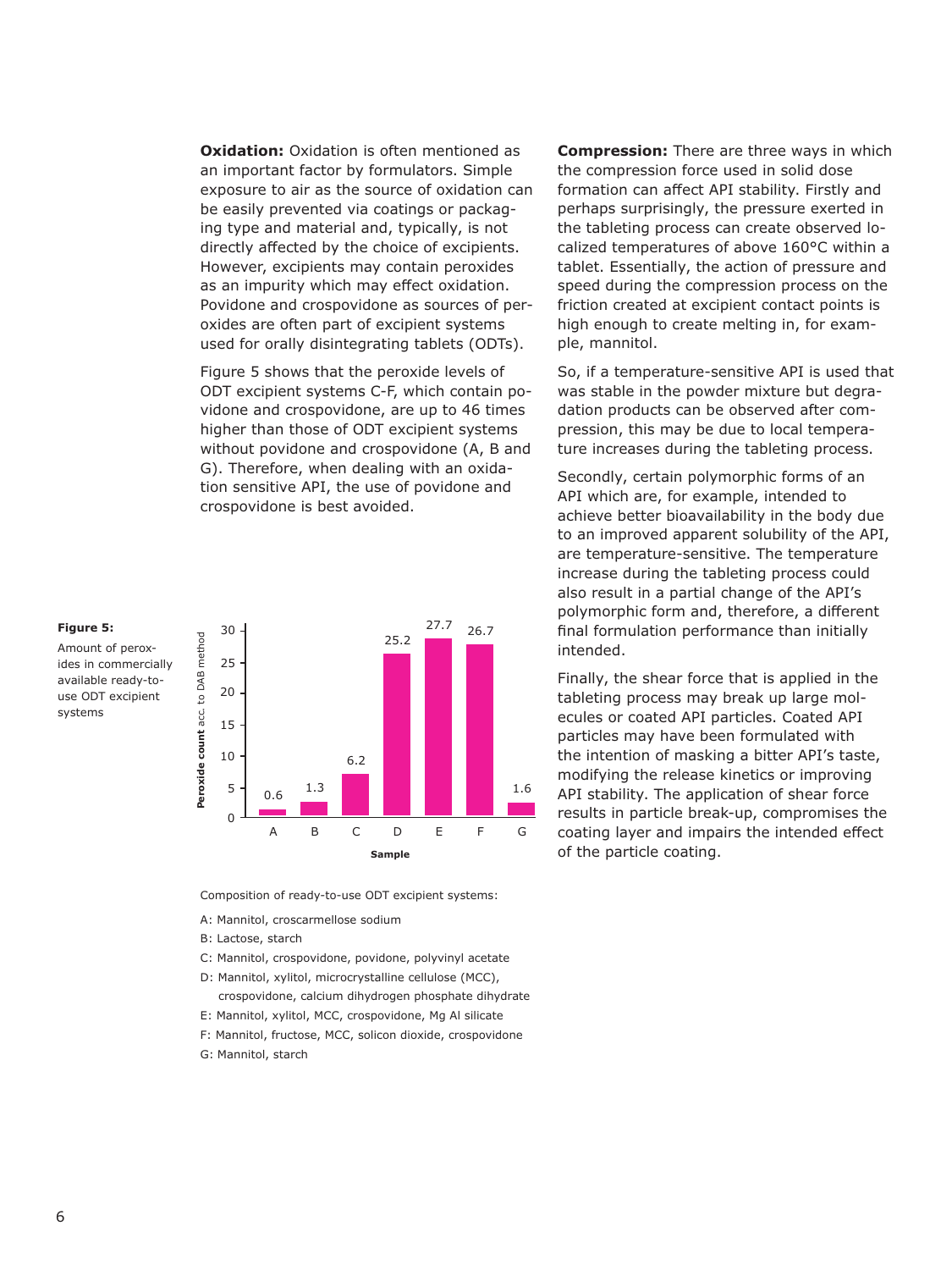**Oxidation:** Oxidation is often mentioned as an important factor by formulators. Simple exposure to air as the source of oxidation can be easily prevented via coatings or packaging type and material and, typically, is not directly affected by the choice of excipients. However, excipients may contain peroxides as an impurity which may effect oxidation. Povidone and crospovidone as sources of peroxides are often part of excipient systems used for orally disintegrating tablets (ODTs).

Figure 5 shows that the peroxide levels of ODT excipient systems C-F, which contain povidone and crospovidone, are up to 46 times higher than those of ODT excipient systems without povidone and crospovidone (A, B and G). Therefore, when dealing with an oxidation sensitive API, the use of povidone and crospovidone is best avoided.



Composition of ready-to-use ODT excipient systems:

- A: Mannitol, croscarmellose sodium
- B: Lactose, starch
- C: Mannitol, crospovidone, povidone, polyvinyl acetate
- D: Mannitol, xylitol, microcrystalline cellulose (MCC), crospovidone, calcium dihydrogen phosphate dihydrate
- E: Mannitol, xylitol, MCC, crospovidone, Mg Al silicate
- F: Mannitol, fructose, MCC, solicon dioxide, crospovidone
- G: Mannitol, starch

**Compression:** There are three ways in which the compression force used in solid dose formation can affect API stability. Firstly and perhaps surprisingly, the pressure exerted in the tableting process can create observed localized temperatures of above 160°C within a tablet. Essentially, the action of pressure and speed during the compression process on the friction created at excipient contact points is high enough to create melting in, for example, mannitol.

So, if a temperature-sensitive API is used that was stable in the powder mixture but degradation products can be observed after compression, this may be due to local temperature increases during the tableting process.

Secondly, certain polymorphic forms of an API which are, for example, intended to achieve better bioavailability in the body due to an improved apparent solubility of the API, are temperature-sensitive. The temperature increase during the tableting process could also result in a partial change of the API's polymorphic form and, therefore, a different final formulation performance than initially intended.

Finally, the shear force that is applied in the tableting process may break up large molecules or coated API particles. Coated API particles may have been formulated with the intention of masking a bitter API's taste, modifying the release kinetics or improving API stability. The application of shear force results in particle break-up, compromises the coating layer and impairs the intended effect of the particle coating.

**Figure 5:** Amount of perox-

systems

available ready-touse ODT excipient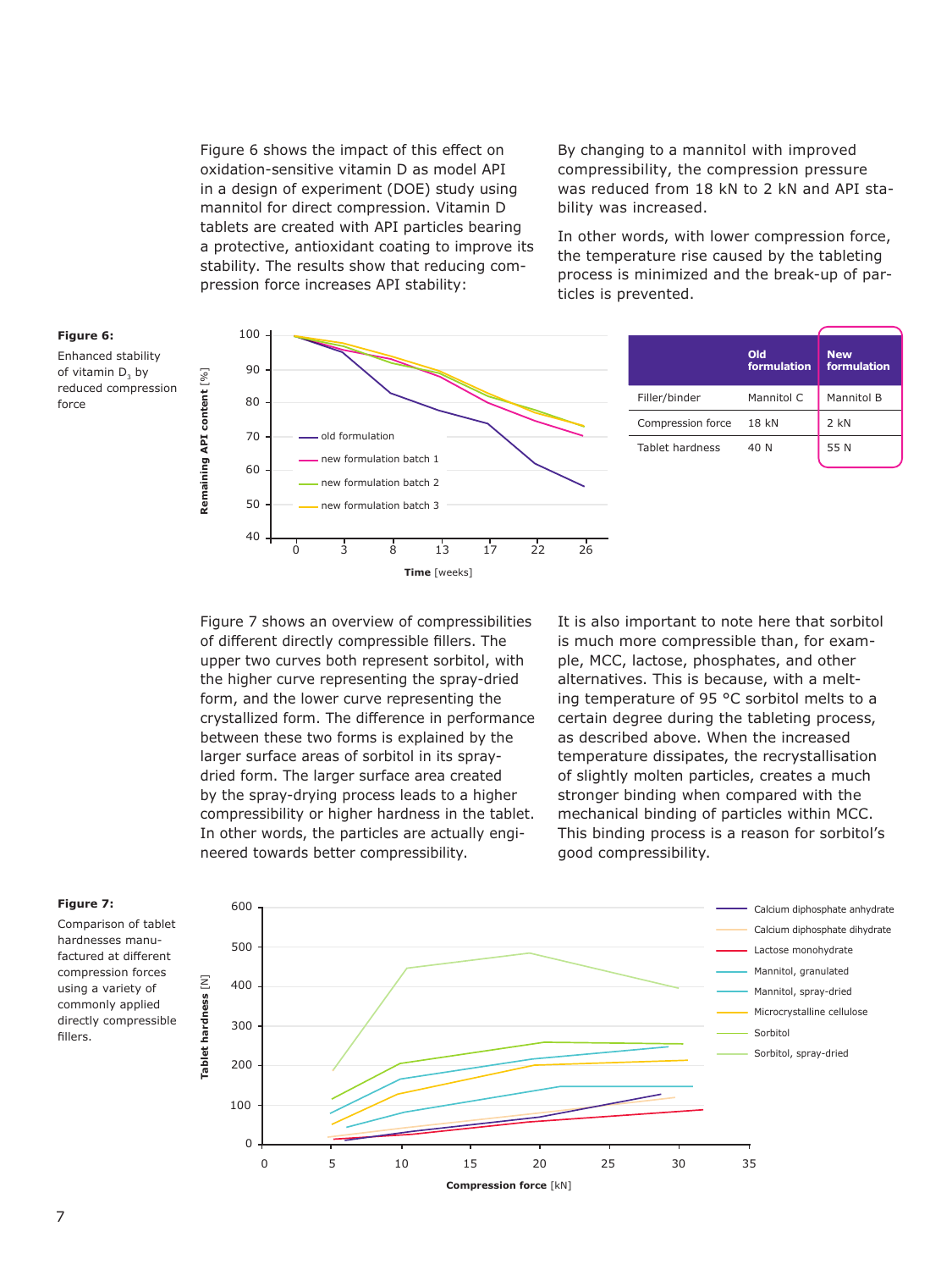Figure 6 shows the impact of this effect on oxidation-sensitive vitamin D as model API in a design of experiment (DOE) study using mannitol for direct compression. Vitamin D tablets are created with API particles bearing a protective, antioxidant coating to improve its stability. The results show that reducing compression force increases API stability:

By changing to a mannitol with improved compressibility, the compression pressure was reduced from 18 kN to 2 kN and API stability was increased.

In other words, with lower compression force, the temperature rise caused by the tableting process is minimized and the break-up of particles is prevented.



Figure 7 shows an overview of compressibilities of different directly compressible fillers. The upper two curves both represent sorbitol, with the higher curve representing the spray-dried form, and the lower curve representing the crystallized form. The difference in performance between these two forms is explained by the larger surface areas of sorbitol in its spraydried form. The larger surface area created by the spray-drying process leads to a higher compressibility or higher hardness in the tablet. In other words, the particles are actually engineered towards better compressibility.

It is also important to note here that sorbitol is much more compressible than, for example, MCC, lactose, phosphates, and other alternatives. This is because, with a melting temperature of 95 °C sorbitol melts to a certain degree during the tableting process, as described above. When the increased temperature dissipates, the recrystallisation of slightly molten particles, creates a much stronger binding when compared with the mechanical binding of particles within MCC. This binding process is a reason for sorbitol's good compressibility.



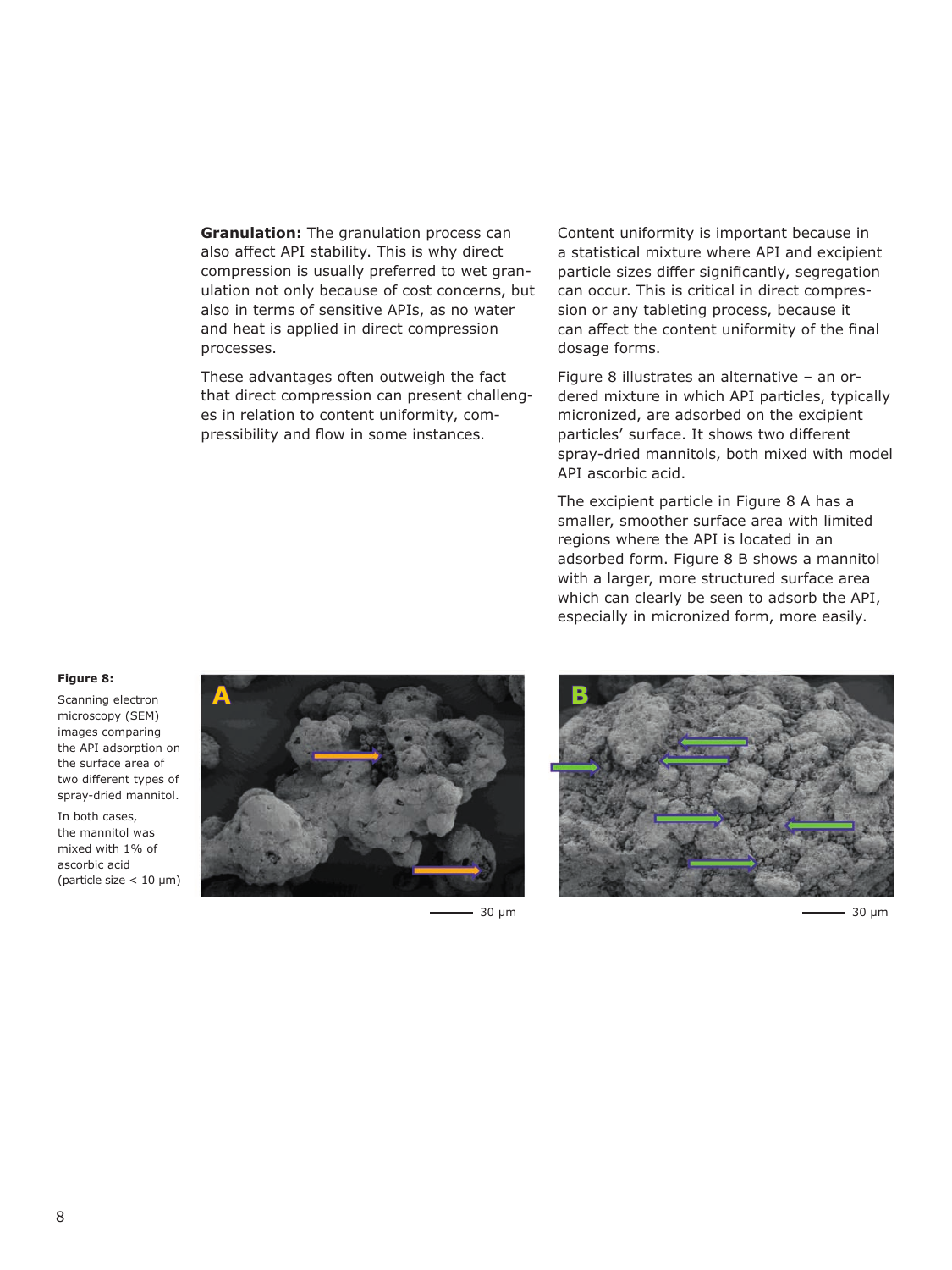**Granulation:** The granulation process can also affect API stability. This is why direct compression is usually preferred to wet granulation not only because of cost concerns, but also in terms of sensitive APIs, as no water and heat is applied in direct compression processes.

These advantages often outweigh the fact that direct compression can present challenges in relation to content uniformity, compressibility and flow in some instances.

Content uniformity is important because in a statistical mixture where API and excipient particle sizes differ significantly, segregation can occur. This is critical in direct compression or any tableting process, because it can affect the content uniformity of the final dosage forms.

Figure 8 illustrates an alternative – an ordered mixture in which API particles, typically micronized, are adsorbed on the excipient particles' surface. It shows two different spray-dried mannitols, both mixed with model API ascorbic acid.

The excipient particle in Figure 8 A has a smaller, smoother surface area with limited regions where the API is located in an adsorbed form. Figure 8 B shows a mannitol with a larger, more structured surface area which can clearly be seen to adsorb the API, especially in micronized form, more easily.

#### **Figure 8:**

Scanning electron microscopy (SEM) images comparing the API adsorption on the surface area of two different types of spray-dried mannitol.

In both cases, the mannitol was mixed with 1% of ascorbic acid (particle size < 10 µm)



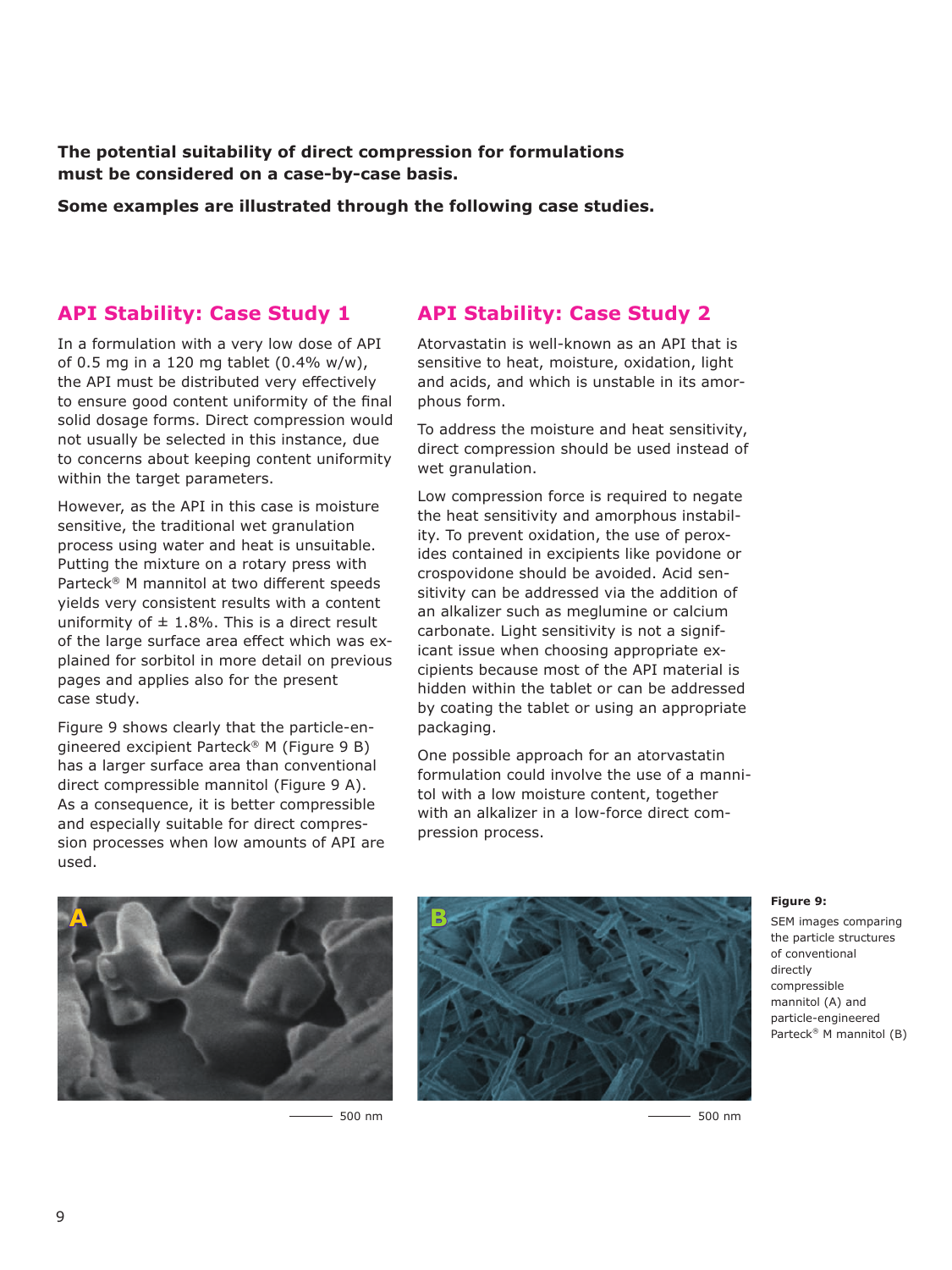**The potential suitability of direct compression for formulations must be considered on a case-by-case basis.** 

**Some examples are illustrated through the following case studies.**

## **API Stability: Case Study 1**

In a formulation with a very low dose of API of 0.5 mg in a 120 mg tablet (0.4% w/w), the API must be distributed very effectively to ensure good content uniformity of the final solid dosage forms. Direct compression would not usually be selected in this instance, due to concerns about keeping content uniformity within the target parameters.

However, as the API in this case is moisture sensitive, the traditional wet granulation process using water and heat is unsuitable. Putting the mixture on a rotary press with Parteck® M mannitol at two different speeds yields very consistent results with a content uniformity of  $\pm$  1.8%. This is a direct result of the large surface area effect which was explained for sorbitol in more detail on previous pages and applies also for the present case study.

Figure 9 shows clearly that the particle-engineered excipient Parteck® M (Figure 9 B) has a larger surface area than conventional direct compressible mannitol (Figure 9 A). As a consequence, it is better compressible and especially suitable for direct compression processes when low amounts of API are used.

# **API Stability: Case Study 2**

Atorvastatin is well-known as an API that is sensitive to heat, moisture, oxidation, light and acids, and which is unstable in its amorphous form.

To address the moisture and heat sensitivity, direct compression should be used instead of wet granulation.

Low compression force is required to negate the heat sensitivity and amorphous instability. To prevent oxidation, the use of peroxides contained in excipients like povidone or crospovidone should be avoided. Acid sensitivity can be addressed via the addition of an alkalizer such as meglumine or calcium carbonate. Light sensitivity is not a significant issue when choosing appropriate excipients because most of the API material is hidden within the tablet or can be addressed by coating the tablet or using an appropriate packaging.

One possible approach for an atorvastatin formulation could involve the use of a mannitol with a low moisture content, together with an alkalizer in a low-force direct compression process.





500 nm 500 nm

#### **Figure 9:**

SEM images comparing the particle structures of conventional directly compressible mannitol (A) and particle-engineered Parteck® M mannitol (B)